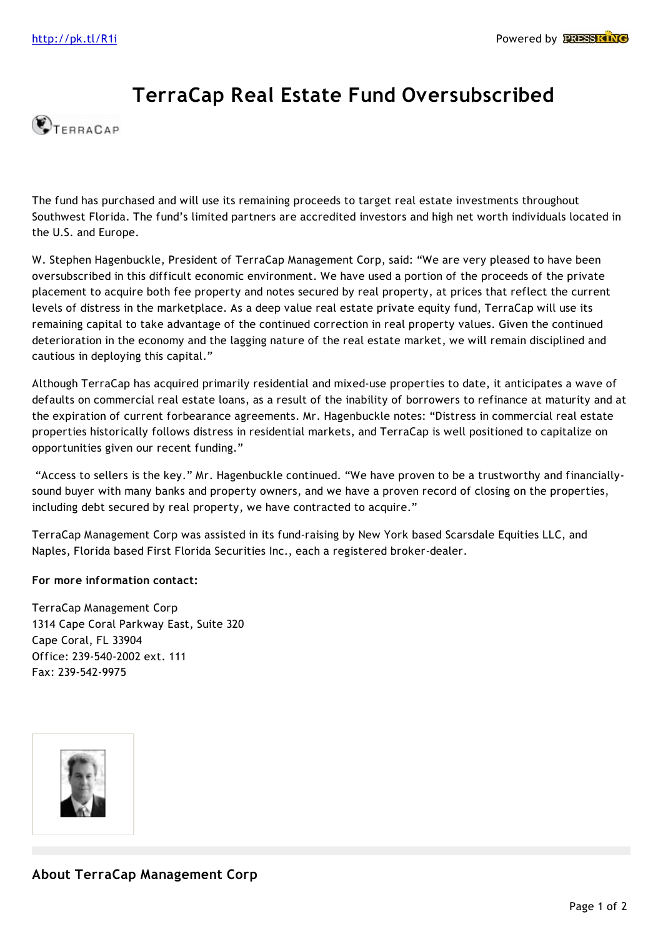## **TerraCap Real Estate Fund Oversubscribed**



The fund has purchased and will use its remaining proceeds to target real estate investments throughout Southwest Florida. The fund's limited partners are accredited investors and high net worth individuals located in the U.S. and Europe.

W. Stephen Hagenbuckle, President of TerraCap Management Corp, said: "We are very pleased to have been oversubscribed in this difficult economic environment. We have used a portion of the proceeds of the private placement to acquire both fee property and notes secured by real property, at prices that reflect the current levels of distress in the marketplace. As a deep value real estate private equity fund, TerraCap will use its remaining capital to take advantage of the continued correction in real property values. Given the continued deterioration in the economy and the lagging nature of the real estate market, we will remain disciplined and cautious in deploying this capital."

Although TerraCap has acquired primarily residential and mixed-use properties to date, it anticipates a wave of defaults on commercial real estate loans, as a result of the inability of borrowers to refinance at maturity and at the expiration of current forbearance agreements. Mr. Hagenbuckle notes: "Distress in commercial real estate properties historically follows distress in residential markets, and TerraCap is well positioned to capitalize on opportunities given our recent funding."

 "Access to sellers is the key." Mr. Hagenbuckle continued. "We have proven to be a trustworthy and financiallysound buyer with many banks and property owners, and we have a proven record of closing on the properties, including debt secured by real property, we have contracted to acquire."

TerraCap Management Corp was assisted in its fund-raising by New York based Scarsdale Equities LLC, and Naples, Florida based First Florida Securities Inc., each a registered broker-dealer.

**For more information contact:**

TerraCap Management Corp 1314 Cape Coral Parkway East, Suite 320 Cape Coral, FL 33904 Office: 239-540-2002 ext. 111 Fax: 239-542-9975